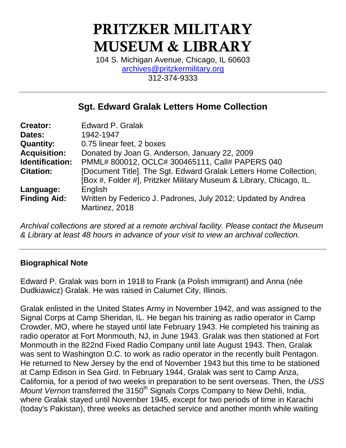# **PRITZKER MILITARY MUSEUM & LIBRARY**

104 S. Michigan Avenue, Chicago, IL 60603 [archives@pritzkermilitary.org](mailto:archives@pritzkermilitary.org) 312-374-9333

# **Sgt. Edward Gralak Letters Home Collection**

| <b>Creator:</b>     | <b>Edward P. Gralak</b>                                             |
|---------------------|---------------------------------------------------------------------|
| Dates:              | 1942-1947                                                           |
| <b>Quantity:</b>    | 0.75 linear feet, 2 boxes                                           |
| <b>Acquisition:</b> | Donated by Joan G. Anderson, January 22, 2009                       |
| Identification:     | PMML# 800012, OCLC# 300465111, Call# PAPERS 040                     |
| <b>Citation:</b>    | [Document Title]. The Sgt. Edward Gralak Letters Home Collection,   |
|                     | [Box #, Folder #], Pritzker Military Museum & Library, Chicago, IL. |
| Language:           | English                                                             |
| <b>Finding Aid:</b> | Written by Federico J. Padrones, July 2012; Updated by Andrea       |
|                     | Martinez, 2018                                                      |

*Archival collections are stored at a remote archival facility. Please contact the Museum & Library at least 48 hours in advance of your visit to view an archival collection.*

#### **Biographical Note**

Edward P. Gralak was born in 1918 to Frank (a Polish immigrant) and Anna (née Dudkiawicz) Gralak. He was raised in Calumet City, Illinois.

Gralak enlisted in the United States Army in November 1942, and was assigned to the Signal Corps at Camp Sheridan, IL. He began his training as radio operator in Camp Crowder, MO, where he stayed until late February 1943. He completed his training as radio operator at Fort Monmouth, NJ, in June 1943. Gralak was then stationed at Fort Monmouth in the 822nd Fixed Radio Company until late August 1943. Then, Gralak was sent to Washington D.C. to work as radio operator in the recently built Pentagon. He returned to New Jersey by the end of November 1943 but this time to be stationed at Camp Edison in Sea Gird. In February 1944, Gralak was sent to Camp Anza, California, for a period of two weeks in preparation to be sent overseas. Then, the *USS Mount Vernon* transferred the 3150<sup>th</sup> Signals Corps Company to New Dehli, India, where Gralak stayed until November 1945, except for two periods of time in Karachi (today's Pakistan), three weeks as detached service and another month while waiting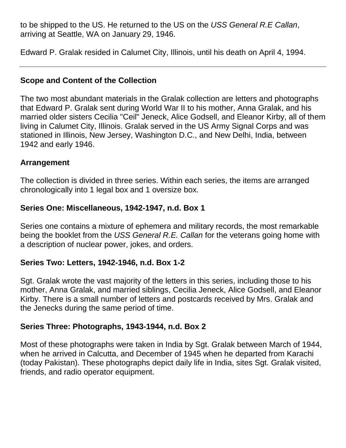to be shipped to the US. He returned to the US on the *USS General R.E Callan*, arriving at Seattle, WA on January 29, 1946.

Edward P. Gralak resided in Calumet City, Illinois, until his death on April 4, 1994.

#### **Scope and Content of the Collection**

The two most abundant materials in the Gralak collection are letters and photographs that Edward P. Gralak sent during World War II to his mother, Anna Gralak, and his married older sisters Cecilia "Ceil" Jeneck, Alice Godsell, and Eleanor Kirby, all of them living in Calumet City, Illinois. Gralak served in the US Army Signal Corps and was stationed in Illinois, New Jersey, Washington D.C., and New Delhi, India, between 1942 and early 1946.

#### **Arrangement**

The collection is divided in three series. Within each series, the items are arranged chronologically into 1 legal box and 1 oversize box.

#### **Series One: Miscellaneous, 1942-1947, n.d. Box 1**

Series one contains a mixture of ephemera and military records, the most remarkable being the booklet from the *USS General R.E. Callan* for the veterans going home with a description of nuclear power, jokes, and orders.

#### **Series Two: Letters, 1942-1946, n.d. Box 1-2**

Sgt. Gralak wrote the vast majority of the letters in this series, including those to his mother, Anna Gralak, and married siblings, Cecilia Jeneck, Alice Godsell, and Eleanor Kirby. There is a small number of letters and postcards received by Mrs. Gralak and the Jenecks during the same period of time.

#### **Series Three: Photographs, 1943-1944, n.d. Box 2**

Most of these photographs were taken in India by Sgt. Gralak between March of 1944, when he arrived in Calcutta, and December of 1945 when he departed from Karachi (today Pakistan). These photographs depict daily life in India, sites Sgt. Gralak visited, friends, and radio operator equipment.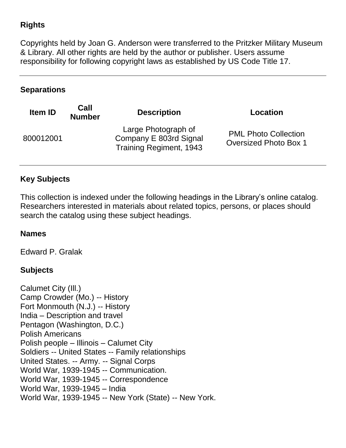## **Rights**

Copyrights held by Joan G. Anderson were transferred to the Pritzker Military Museum & Library. All other rights are held by the author or publisher. Users assume responsibility for following copyright laws as established by US Code Title 17.

#### **Separations**

| Item ID   | Call<br><b>Number</b> | <b>Description</b>                                                              | Location                                                    |
|-----------|-----------------------|---------------------------------------------------------------------------------|-------------------------------------------------------------|
| 800012001 |                       | Large Photograph of<br>Company E 803rd Signal<br><b>Training Regiment, 1943</b> | <b>PML Photo Collection</b><br><b>Oversized Photo Box 1</b> |

### **Key Subjects**

This collection is indexed under the following headings in the Library's online catalog. Researchers interested in materials about related topics, persons, or places should search the catalog using these subject headings.

#### **Names**

Edward P. Gralak

#### **Subjects**

Calumet City (Ill.) Camp Crowder (Mo.) -- History Fort Monmouth (N.J.) -- History India – Description and travel Pentagon (Washington, D.C.) Polish Americans Polish people – Illinois – Calumet City Soldiers -- United States -- Family relationships United States. -- Army. -- Signal Corps World War, 1939-1945 -- Communication. World War, 1939-1945 -- Correspondence World War, 1939-1945 – India World War, 1939-1945 -- New York (State) -- New York.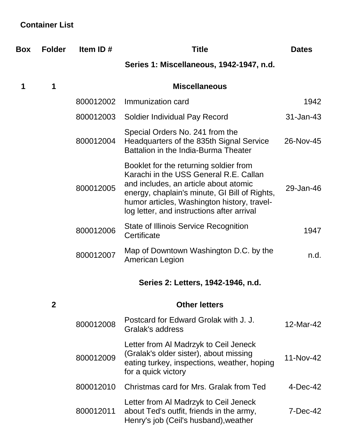# **Container List**

| Box | <b>Folder</b> | Item ID#  | <b>Title</b>                                                                                                                                                                                                                                                            | <b>Dates</b> |
|-----|---------------|-----------|-------------------------------------------------------------------------------------------------------------------------------------------------------------------------------------------------------------------------------------------------------------------------|--------------|
|     |               |           | Series 1: Miscellaneous, 1942-1947, n.d.                                                                                                                                                                                                                                |              |
| 1   | 1             |           | <b>Miscellaneous</b>                                                                                                                                                                                                                                                    |              |
|     |               | 800012002 | Immunization card                                                                                                                                                                                                                                                       | 1942         |
|     |               | 800012003 | Soldier Individual Pay Record                                                                                                                                                                                                                                           | 31-Jan-43    |
|     |               | 800012004 | Special Orders No. 241 from the<br>Headquarters of the 835th Signal Service<br>Battalion in the India-Burma Theater                                                                                                                                                     | 26-Nov-45    |
|     |               | 800012005 | Booklet for the returning soldier from<br>Karachi in the USS General R.E. Callan<br>and includes, an article about atomic<br>energy, chaplain's minute, GI Bill of Rights,<br>humor articles, Washington history, travel-<br>log letter, and instructions after arrival | 29-Jan-46    |
|     |               | 800012006 | <b>State of Illinois Service Recognition</b><br>Certificate                                                                                                                                                                                                             | 1947         |
|     |               | 800012007 | Map of Downtown Washington D.C. by the<br>American Legion                                                                                                                                                                                                               | n.d.         |
|     |               |           | Series 2: Letters, 1942-1946, n.d.                                                                                                                                                                                                                                      |              |
|     | $\mathbf{2}$  |           | <b>Other letters</b>                                                                                                                                                                                                                                                    |              |
|     |               | 800012008 | Postcard for Edward Grolak with J. J.<br>Gralak's address                                                                                                                                                                                                               | 12-Mar-42    |
|     |               | 800012009 | Letter from AI Madrzyk to Ceil Jeneck<br>(Gralak's older sister), about missing<br>eating turkey, inspections, weather, hoping<br>for a quick victory                                                                                                                   | 11-Nov-42    |
|     |               | 800012010 | Christmas card for Mrs. Gralak from Ted                                                                                                                                                                                                                                 | $4$ -Dec-42  |
|     |               | 800012011 | Letter from Al Madrzyk to Ceil Jeneck<br>about Ted's outfit, friends in the army,<br>Henry's job (Ceil's husband), weather                                                                                                                                              | 7-Dec-42     |
|     |               |           |                                                                                                                                                                                                                                                                         |              |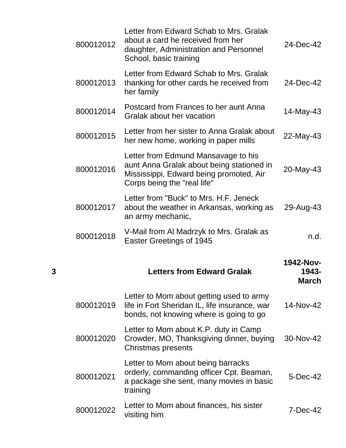| 24-Dec-42                                 | Letter from Edward Schab to Mrs. Gralak<br>about a card he received from her<br>daughter, Administration and Personnel<br>School, basic training           | 800012012 |
|-------------------------------------------|------------------------------------------------------------------------------------------------------------------------------------------------------------|-----------|
| 24-Dec-42                                 | Letter from Edward Schab to Mrs. Gralak<br>thanking for other cards he received from<br>her family                                                         | 800012013 |
| 14-May-43                                 | Postcard from Frances to her aunt Anna<br>Gralak about her vacation                                                                                        | 800012014 |
| 22-May-43                                 | Letter from her sister to Anna Gralak about<br>her new home, working in paper mills                                                                        | 800012015 |
| 20-May-43                                 | Letter from Edmund Mansavage to his<br>aunt Anna Gralak about being stationed in<br>Mississippi, Edward being promoted, Air<br>Corps being the "real life" | 800012016 |
| 29-Aug-43                                 | Letter from "Buck" to Mrs. H.F. Jeneck<br>about the weather in Arkansas, working as<br>an army mechanic,                                                   | 800012017 |
| n.d.                                      | V-Mail from Al Madrzyk to Mrs. Gralak as<br>Easter Greetings of 1945                                                                                       | 800012018 |
|                                           |                                                                                                                                                            |           |
| <b>1942-Nov-</b><br>1943-<br><b>March</b> | <b>Letters from Edward Gralak</b>                                                                                                                          | 3         |
| 14-Nov-42                                 | Letter to Mom about getting used to army<br>life in Fort Sheridan IL, life insurance, war<br>bonds, not knowing where is going to go                       | 800012019 |
| 30-Nov-42                                 | Letter to Mom about K.P. duty in Camp<br>Crowder, MO, Thanksgiving dinner, buying<br>Christmas presents                                                    | 800012020 |
| 5-Dec-42                                  | Letter to Mom about being barracks<br>orderly, commanding officer Cpt. Beaman,<br>a package she sent, many movies in basic<br>training                     | 800012021 |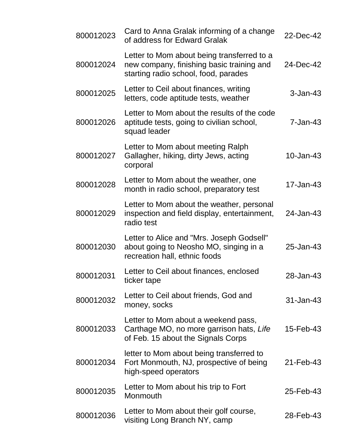| 800012023 | Card to Anna Gralak informing of a change<br>of address for Edward Gralak                                                       | 22-Dec-42     |
|-----------|---------------------------------------------------------------------------------------------------------------------------------|---------------|
| 800012024 | Letter to Mom about being transferred to a<br>new company, finishing basic training and<br>starting radio school, food, parades | 24-Dec-42     |
| 800012025 | Letter to Ceil about finances, writing<br>letters, code aptitude tests, weather                                                 | $3 - Jan-43$  |
| 800012026 | Letter to Mom about the results of the code<br>aptitude tests, going to civilian school,<br>squad leader                        | $7 - Jan-43$  |
| 800012027 | Letter to Mom about meeting Ralph<br>Gallagher, hiking, dirty Jews, acting<br>corporal                                          | 10-Jan-43     |
| 800012028 | Letter to Mom about the weather, one<br>month in radio school, preparatory test                                                 | 17-Jan-43     |
| 800012029 | Letter to Mom about the weather, personal<br>inspection and field display, entertainment,<br>radio test                         | 24-Jan-43     |
| 800012030 | Letter to Alice and "Mrs. Joseph Godsell"<br>about going to Neosho MO, singing in a<br>recreation hall, ethnic foods            | 25-Jan-43     |
| 800012031 | Letter to Ceil about finances, enclosed<br>ticker tape                                                                          | 28-Jan-43     |
| 800012032 | Letter to Ceil about friends, God and<br>money, socks                                                                           | $31 - Jan-43$ |
| 800012033 | Letter to Mom about a weekend pass,<br>Carthage MO, no more garrison hats, Life<br>of Feb. 15 about the Signals Corps           | 15-Feb-43     |
| 800012034 | letter to Mom about being transferred to<br>Fort Monmouth, NJ, prospective of being<br>high-speed operators                     | 21-Feb-43     |
| 800012035 | Letter to Mom about his trip to Fort<br>Monmouth                                                                                | 25-Feb-43     |
| 800012036 | Letter to Mom about their golf course,<br>visiting Long Branch NY, camp                                                         | 28-Feb-43     |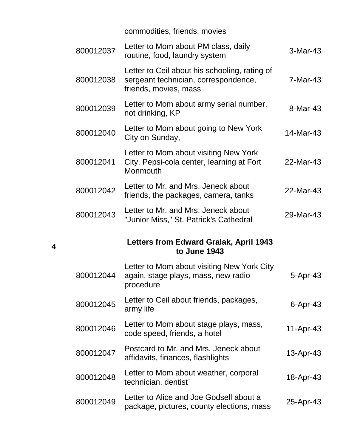commodities, friends, movies

| 800012037 | Letter to Mom about PM class, daily<br>routine, food, laundry system                                           | 3-Mar-43        |
|-----------|----------------------------------------------------------------------------------------------------------------|-----------------|
| 800012038 | Letter to Ceil about his schooling, rating of<br>sergeant technician, correspondence,<br>friends, movies, mass | 7-Mar-43        |
| 800012039 | Letter to Mom about army serial number,<br>not drinking, KP                                                    | 8-Mar-43        |
| 800012040 | Letter to Mom about going to New York<br>City on Sunday,                                                       | 14-Mar-43       |
| 800012041 | Letter to Mom about visiting New York<br>City, Pepsi-cola center, learning at Fort<br>Monmouth                 | 22-Mar-43       |
| 800012042 | Letter to Mr. and Mrs. Jeneck about<br>friends, the packages, camera, tanks                                    | 22-Mar-43       |
| 800012043 | Letter to Mr. and Mrs. Jeneck about<br>"Junior Miss," St. Patrick's Cathedral                                  | 29-Mar-43       |
|           |                                                                                                                |                 |
|           | Letters from Edward Gralak, April 1943<br>to June 1943                                                         |                 |
| 800012044 | Letter to Mom about visiting New York City<br>again, stage plays, mass, new radio<br>procedure                 | 5-Apr-43        |
| 800012045 | Letter to Ceil about friends, packages,<br>army life                                                           | $6 -$ Apr $-43$ |
| 800012046 | Letter to Mom about stage plays, mass,<br>code speed, friends, a hotel                                         | 11-Apr-43       |
| 800012047 | Postcard to Mr. and Mrs. Jeneck about<br>affidavits, finances, flashlights                                     | 13-Apr-43       |
| 800012048 | Letter to Mom about weather, corporal<br>technician, dentist                                                   | 18-Apr-43       |

**4**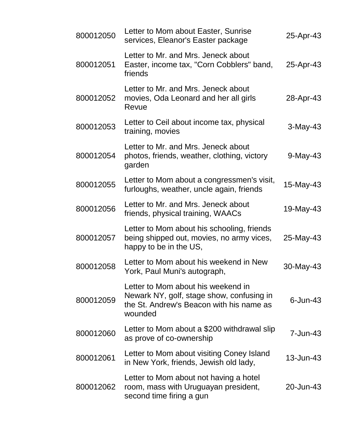| 800012050 | Letter to Mom about Easter, Sunrise<br>services, Eleanor's Easter package                                                              | 25-Apr-43    |
|-----------|----------------------------------------------------------------------------------------------------------------------------------------|--------------|
| 800012051 | Letter to Mr. and Mrs. Jeneck about<br>Easter, income tax, "Corn Cobblers" band,<br>friends                                            | 25-Apr-43    |
| 800012052 | Letter to Mr. and Mrs. Jeneck about<br>movies, Oda Leonard and her all girls<br>Revue                                                  | 28-Apr-43    |
| 800012053 | Letter to Ceil about income tax, physical<br>training, movies                                                                          | $3-May-43$   |
| 800012054 | Letter to Mr. and Mrs. Jeneck about<br>photos, friends, weather, clothing, victory<br>garden                                           | $9$ -May-43  |
| 800012055 | Letter to Mom about a congressmen's visit,<br>furloughs, weather, uncle again, friends                                                 | 15-May-43    |
| 800012056 | Letter to Mr. and Mrs. Jeneck about<br>friends, physical training, WAACs                                                               | 19-May-43    |
| 800012057 | Letter to Mom about his schooling, friends<br>being shipped out, movies, no army vices,<br>happy to be in the US,                      | 25-May-43    |
| 800012058 | Letter to Mom about his weekend in New<br>York, Paul Muni's autograph,                                                                 | 30-May-43    |
| 800012059 | Letter to Mom about his weekend in<br>Newark NY, golf, stage show, confusing in<br>the St. Andrew's Beacon with his name as<br>wounded | $6$ -Jun-43  |
| 800012060 | Letter to Mom about a \$200 withdrawal slip<br>as prove of co-ownership                                                                | $7 - Jun-43$ |
| 800012061 | Letter to Mom about visiting Coney Island<br>in New York, friends, Jewish old lady,                                                    | 13-Jun-43    |
| 800012062 | Letter to Mom about not having a hotel<br>room, mass with Uruguayan president,<br>second time firing a gun                             | 20-Jun-43    |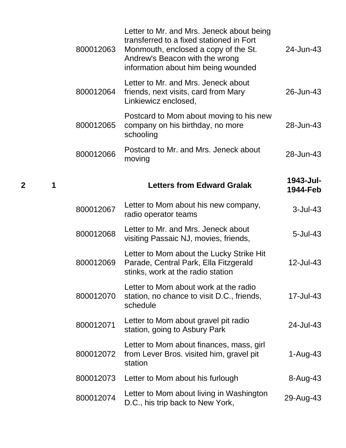| 800012063 | Letter to Mr. and Mrs. Jeneck about being<br>transferred to a fixed stationed in Fort<br>Monmouth, enclosed a copy of the St.<br>Andrew's Beacon with the wrong<br>information about him being wounded | 24-Jun-43             |
|-----------|--------------------------------------------------------------------------------------------------------------------------------------------------------------------------------------------------------|-----------------------|
| 800012064 | Letter to Mr. and Mrs. Jeneck about<br>friends, next visits, card from Mary<br>Linkiewicz enclosed,                                                                                                    | 26-Jun-43             |
| 800012065 | Postcard to Mom about moving to his new<br>company on his birthday, no more<br>schooling                                                                                                               | 28-Jun-43             |
| 800012066 | Postcard to Mr. and Mrs. Jeneck about<br>moving                                                                                                                                                        | 28-Jun-43             |
|           | <b>Letters from Edward Gralak</b>                                                                                                                                                                      | 1943-Jul-<br>1944-Feb |
| 800012067 | Letter to Mom about his new company,<br>radio operator teams                                                                                                                                           | $3$ -Jul-43           |
| 800012068 | Letter to Mr. and Mrs. Jeneck about<br>visiting Passaic NJ, movies, friends,                                                                                                                           | $5 -$ Jul $-43$       |
| 800012069 | Letter to Mom about the Lucky Strike Hit<br>Parade, Central Park, Ella Fitzgerald<br>stinks, work at the radio station                                                                                 | 12-Jul-43             |
| 800012070 | Letter to Mom about work at the radio<br>station, no chance to visit D.C., friends,<br>schedule                                                                                                        | 17-Jul-43             |
| 800012071 | Letter to Mom about gravel pit radio<br>station, going to Asbury Park                                                                                                                                  | 24-Jul-43             |
| 800012072 | Letter to Mom about finances, mass, girl<br>from Lever Bros. visited him, gravel pit<br>station                                                                                                        | 1-Aug-43              |
| 800012073 | Letter to Mom about his furlough                                                                                                                                                                       | 8-Aug-43              |
| 800012074 | Letter to Mom about living in Washington<br>D.C., his trip back to New York,                                                                                                                           | 29-Aug-43             |

**<sup>2</sup> <sup>1</sup> Letters from Edward Gralak 1943-Jul-**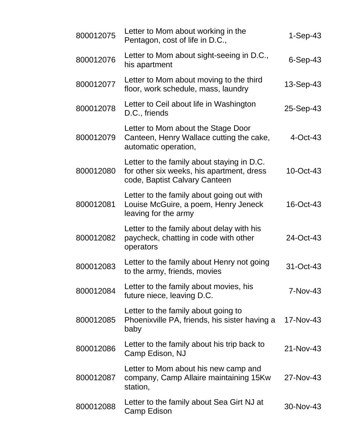| 800012075 | Letter to Mom about working in the<br>Pentagon, cost of life in D.C.,                                                    | $1-Sep-43$  |
|-----------|--------------------------------------------------------------------------------------------------------------------------|-------------|
| 800012076 | Letter to Mom about sight-seeing in D.C.,<br>his apartment                                                               | $6-Sep-43$  |
| 800012077 | Letter to Mom about moving to the third<br>floor, work schedule, mass, laundry                                           | 13-Sep-43   |
| 800012078 | Letter to Ceil about life in Washington<br>D.C., friends                                                                 | 25-Sep-43   |
| 800012079 | Letter to Mom about the Stage Door<br>Canteen, Henry Wallace cutting the cake,<br>automatic operation,                   | $4$ -Oct-43 |
| 800012080 | Letter to the family about staying in D.C.<br>for other six weeks, his apartment, dress<br>code, Baptist Calvary Canteen | 10-Oct-43   |
| 800012081 | Letter to the family about going out with<br>Louise McGuire, a poem, Henry Jeneck<br>leaving for the army                | 16-Oct-43   |
| 800012082 | Letter to the family about delay with his<br>paycheck, chatting in code with other<br>operators                          | 24-Oct-43   |
| 800012083 | Letter to the family about Henry not going<br>to the army, friends, movies                                               | 31-Oct-43   |
| 800012084 | Letter to the family about movies, his<br>future niece, leaving D.C.                                                     | $7-Nov-43$  |
| 800012085 | Letter to the family about going to<br>Phoenixville PA, friends, his sister having a<br>baby                             | 17-Nov-43   |
| 800012086 | Letter to the family about his trip back to<br>Camp Edison, NJ                                                           | 21-Nov-43   |
| 800012087 | Letter to Mom about his new camp and<br>company, Camp Allaire maintaining 15Kw<br>station,                               | 27-Nov-43   |
| 800012088 | Letter to the family about Sea Girt NJ at<br>Camp Edison                                                                 | 30-Nov-43   |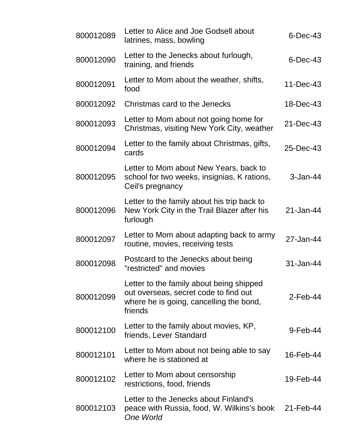| 800012089 | Letter to Alice and Joe Godsell about<br>latrines, mass, bowling                                                                        | $6$ -Dec-43   |
|-----------|-----------------------------------------------------------------------------------------------------------------------------------------|---------------|
| 800012090 | Letter to the Jenecks about furlough,<br>training, and friends                                                                          | $6$ -Dec-43   |
| 800012091 | Letter to Mom about the weather, shifts,<br>food                                                                                        | $11 - Dec-43$ |
| 800012092 | Christmas card to the Jenecks                                                                                                           | 18-Dec-43     |
| 800012093 | Letter to Mom about not going home for<br>Christmas, visiting New York City, weather                                                    | 21-Dec-43     |
| 800012094 | Letter to the family about Christmas, gifts,<br>cards                                                                                   | 25-Dec-43     |
| 800012095 | Letter to Mom about New Years, back to<br>school for two weeks, insignias, K rations,<br>Ceil's pregnancy                               | $3-Jan-44$    |
| 800012096 | Letter to the family about his trip back to<br>New York City in the Trail Blazer after his<br>furlough                                  | 21-Jan-44     |
| 800012097 | Letter to Mom about adapting back to army<br>routine, movies, receiving tests                                                           | 27-Jan-44     |
| 800012098 | Postcard to the Jenecks about being<br>"restricted" and movies                                                                          | 31-Jan-44     |
| 800012099 | Letter to the family about being shipped<br>out overseas, secret code to find out<br>where he is going, cancelling the bond,<br>friends | $2$ -Feb-44   |
| 800012100 | Letter to the family about movies, KP,<br>friends, Lever Standard                                                                       | $9$ -Feb-44   |
| 800012101 | Letter to Mom about not being able to say<br>where he is stationed at                                                                   | 16-Feb-44     |
| 800012102 | Letter to Mom about censorship<br>restrictions, food, friends                                                                           | 19-Feb-44     |
| 800012103 | Letter to the Jenecks about Finland's<br>peace with Russia, food, W. Wilkins's book<br><b>One World</b>                                 | 21-Feb-44     |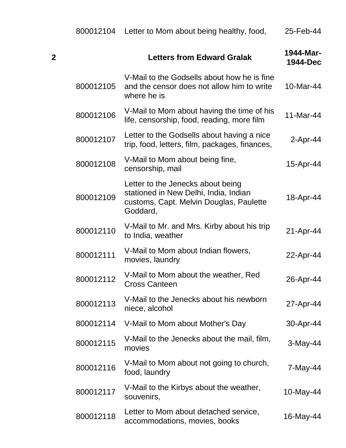|   | 800012104 | Letter to Mom about being healthy, food,                                                                                          | 25-Feb-44             |
|---|-----------|-----------------------------------------------------------------------------------------------------------------------------------|-----------------------|
| 2 |           | <b>Letters from Edward Gralak</b>                                                                                                 | 1944-Mar-<br>1944-Dec |
|   | 800012105 | V-Mail to the Godsells about how he is fine<br>and the censor does not allow him to write<br>where he is                          | 10-Mar-44             |
|   | 800012106 | V-Mail to Mom about having the time of his<br>life, censorship, food, reading, more film                                          | 11-Mar-44             |
|   | 800012107 | Letter to the Godsells about having a nice<br>trip, food, letters, film, packages, finances,                                      | $2$ -Apr-44           |
|   | 800012108 | V-Mail to Mom about being fine,<br>censorship, mail                                                                               | 15-Apr-44             |
|   | 800012109 | Letter to the Jenecks about being<br>stationed in New Delhi, India, Indian<br>customs, Capt. Melvin Douglas, Paulette<br>Goddard, | 18-Apr-44             |
|   | 800012110 | V-Mail to Mr. and Mrs. Kirby about his trip<br>to India, weather                                                                  | 21-Apr-44             |
|   | 800012111 | V-Mail to Mom about Indian flowers,<br>movies, laundry                                                                            | 22-Apr-44             |
|   | 800012112 | V-Mail to Mom about the weather, Red<br><b>Cross Canteen</b>                                                                      | 26-Apr-44             |
|   | 800012113 | V-Mail to the Jenecks about his newborn<br>niece, alcohol                                                                         | 27-Apr-44             |
|   | 800012114 | V-Mail to Mom about Mother's Day                                                                                                  | 30-Apr-44             |
|   | 800012115 | V-Mail to the Jenecks about the mail, film,<br>movies                                                                             | 3-May-44              |
|   | 800012116 | V-Mail to Mom about not going to church,<br>food, laundry                                                                         | 7-May-44              |
|   | 800012117 | V-Mail to the Kirbys about the weather,<br>souvenirs,                                                                             | 10-May-44             |
|   | 800012118 | Letter to Mom about detached service,<br>accommodations, movies, books                                                            | 16-May-44             |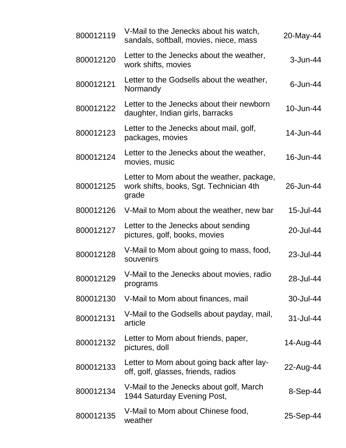| 800012119 | V-Mail to the Jenecks about his watch,<br>sandals, softball, movies, niece, mass              | 20-May-44    |
|-----------|-----------------------------------------------------------------------------------------------|--------------|
| 800012120 | Letter to the Jenecks about the weather,<br>work shifts, movies                               | $3 - Jun-44$ |
| 800012121 | Letter to the Godsells about the weather,<br>Normandy                                         | $6$ -Jun-44  |
| 800012122 | Letter to the Jenecks about their newborn<br>daughter, Indian girls, barracks                 | 10-Jun-44    |
| 800012123 | Letter to the Jenecks about mail, golf,<br>packages, movies                                   | 14-Jun-44    |
| 800012124 | Letter to the Jenecks about the weather,<br>movies, music                                     | 16-Jun-44    |
| 800012125 | Letter to Mom about the weather, package,<br>work shifts, books, Sgt. Technician 4th<br>grade | 26-Jun-44    |
| 800012126 | V-Mail to Mom about the weather, new bar                                                      | 15-Jul-44    |
| 800012127 | Letter to the Jenecks about sending<br>pictures, golf, books, movies                          | 20-Jul-44    |
| 800012128 | V-Mail to Mom about going to mass, food,<br>souvenirs                                         | 23-Jul-44    |
| 800012129 | V-Mail to the Jenecks about movies, radio<br>programs                                         | 28-Jul-44    |
| 800012130 | V-Mail to Mom about finances, mail                                                            | 30-Jul-44    |
| 800012131 | V-Mail to the Godsells about payday, mail,<br>article                                         | 31-Jul-44    |
| 800012132 | Letter to Mom about friends, paper,<br>pictures, doll                                         | 14-Aug-44    |
| 800012133 | Letter to Mom about going back after lay-<br>off, golf, glasses, friends, radios              | 22-Aug-44    |
| 800012134 | V-Mail to the Jenecks about golf, March<br>1944 Saturday Evening Post,                        | 8-Sep-44     |
| 800012135 | V-Mail to Mom about Chinese food,<br>weather                                                  | 25-Sep-44    |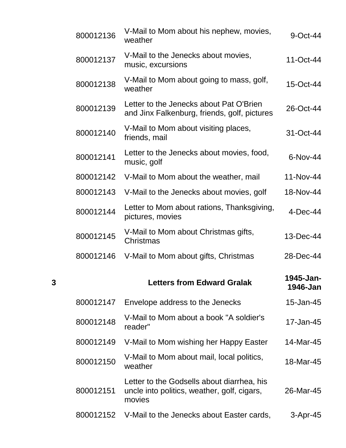|   | 800012136 | V-Mail to Mom about his nephew, movies,<br>weather                                                  | 9-Oct-44              |
|---|-----------|-----------------------------------------------------------------------------------------------------|-----------------------|
|   | 800012137 | V-Mail to the Jenecks about movies,<br>music, excursions                                            | 11-Oct-44             |
|   | 800012138 | V-Mail to Mom about going to mass, golf,<br>weather                                                 | 15-Oct-44             |
|   | 800012139 | Letter to the Jenecks about Pat O'Brien<br>and Jinx Falkenburg, friends, golf, pictures             | 26-Oct-44             |
|   | 800012140 | V-Mail to Mom about visiting places,<br>friends, mail                                               | 31-Oct-44             |
|   | 800012141 | Letter to the Jenecks about movies, food,<br>music, golf                                            | 6-Nov-44              |
|   | 800012142 | V-Mail to Mom about the weather, mail                                                               | 11-Nov-44             |
|   | 800012143 | V-Mail to the Jenecks about movies, golf                                                            | 18-Nov-44             |
|   | 800012144 | Letter to Mom about rations, Thanksgiving,<br>pictures, movies                                      | $4$ -Dec-44           |
|   | 800012145 | V-Mail to Mom about Christmas gifts,<br>Christmas                                                   | 13-Dec-44             |
|   | 800012146 | V-Mail to Mom about gifts, Christmas                                                                | 28-Dec-44             |
| 3 |           | <b>Letters from Edward Gralak</b>                                                                   | 1945-Jan-<br>1946-Jan |
|   | 800012147 | Envelope address to the Jenecks                                                                     | 15-Jan-45             |
|   | 800012148 | V-Mail to Mom about a book "A soldier's<br>reader"                                                  | 17-Jan-45             |
|   | 800012149 | V-Mail to Mom wishing her Happy Easter                                                              | 14-Mar-45             |
|   | 800012150 | V-Mail to Mom about mail, local politics,<br>weather                                                | 18-Mar-45             |
|   | 800012151 | Letter to the Godsells about diarrhea, his<br>uncle into politics, weather, golf, cigars,<br>movies | 26-Mar-45             |
|   | 800012152 | V-Mail to the Jenecks about Easter cards,                                                           | 3-Apr-45              |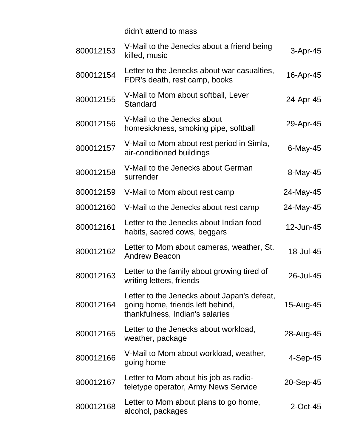didn't attend to mass

| 800012153 | V-Mail to the Jenecks about a friend being<br>killed, music                                                        | 3-Apr-45    |
|-----------|--------------------------------------------------------------------------------------------------------------------|-------------|
| 800012154 | Letter to the Jenecks about war casualties,<br>FDR's death, rest camp, books                                       | 16-Apr-45   |
| 800012155 | V-Mail to Mom about softball, Lever<br>Standard                                                                    | 24-Apr-45   |
| 800012156 | V-Mail to the Jenecks about<br>homesickness, smoking pipe, softball                                                | 29-Apr-45   |
| 800012157 | V-Mail to Mom about rest period in Simla,<br>air-conditioned buildings                                             | $6$ -May-45 |
| 800012158 | V-Mail to the Jenecks about German<br>surrender                                                                    | 8-May-45    |
| 800012159 | V-Mail to Mom about rest camp                                                                                      | 24-May-45   |
| 800012160 | V-Mail to the Jenecks about rest camp                                                                              | 24-May-45   |
| 800012161 | Letter to the Jenecks about Indian food<br>habits, sacred cows, beggars                                            | 12-Jun-45   |
| 800012162 | Letter to Mom about cameras, weather, St.<br><b>Andrew Beacon</b>                                                  | 18-Jul-45   |
| 800012163 | Letter to the family about growing tired of<br>writing letters, friends                                            | 26-Jul-45   |
| 800012164 | Letter to the Jenecks about Japan's defeat,<br>going home, friends left behind,<br>thankfulness, Indian's salaries | 15-Aug-45   |
| 800012165 | Letter to the Jenecks about workload,<br>weather, package                                                          | 28-Aug-45   |
| 800012166 | V-Mail to Mom about workload, weather,<br>going home                                                               | $4-Sep-45$  |
| 800012167 | Letter to Mom about his job as radio-<br>teletype operator, Army News Service                                      | 20-Sep-45   |
| 800012168 | Letter to Mom about plans to go home,<br>alcohol, packages                                                         | $2$ -Oct-45 |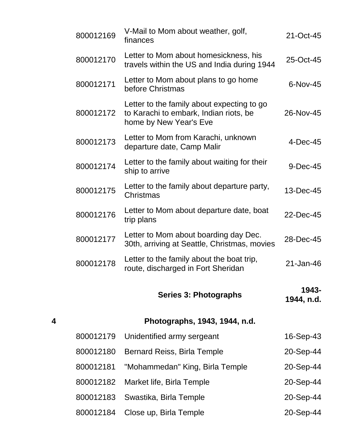|   | 800012169 | V-Mail to Mom about weather, golf,<br>finances                                                                 | 21-Oct-45           |
|---|-----------|----------------------------------------------------------------------------------------------------------------|---------------------|
|   | 800012170 | Letter to Mom about homesickness, his<br>travels within the US and India during 1944                           | 25-Oct-45           |
|   | 800012171 | Letter to Mom about plans to go home<br>before Christmas                                                       | 6-Nov-45            |
|   | 800012172 | Letter to the family about expecting to go<br>to Karachi to embark, Indian riots, be<br>home by New Year's Eve | 26-Nov-45           |
|   | 800012173 | Letter to Mom from Karachi, unknown<br>departure date, Camp Malir                                              | $4-Dec-45$          |
|   | 800012174 | Letter to the family about waiting for their<br>ship to arrive                                                 | 9-Dec-45            |
|   | 800012175 | Letter to the family about departure party,<br>Christmas                                                       | 13-Dec-45           |
|   | 800012176 | Letter to Mom about departure date, boat<br>trip plans                                                         | 22-Dec-45           |
|   | 800012177 | Letter to Mom about boarding day Dec.<br>30th, arriving at Seattle, Christmas, movies                          | 28-Dec-45           |
|   | 800012178 | Letter to the family about the boat trip,<br>route, discharged in Fort Sheridan                                | 21-Jan-46           |
|   |           | Series 3: Photographs                                                                                          | 1943-<br>1944, n.d. |
| 4 |           | Photographs, 1943, 1944, n.d.                                                                                  |                     |
|   | 800012179 | Unidentified army sergeant                                                                                     | 16-Sep-43           |
|   | 800012180 | <b>Bernard Reiss, Birla Temple</b>                                                                             | 20-Sep-44           |
|   | 800012181 | "Mohammedan" King, Birla Temple                                                                                | 20-Sep-44           |
|   | 800012182 | Market life, Birla Temple                                                                                      | 20-Sep-44           |
|   | 800012183 | Swastika, Birla Temple                                                                                         | 20-Sep-44           |
|   | 800012184 | Close up, Birla Temple                                                                                         | 20-Sep-44           |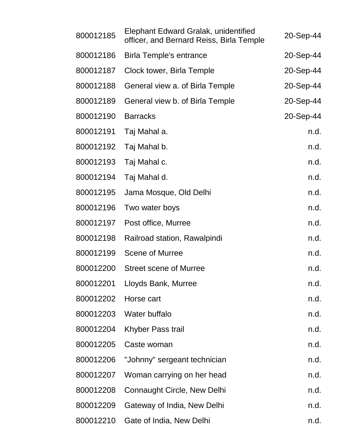| 800012185 | Elephant Edward Gralak, unidentified<br>officer, and Bernard Reiss, Birla Temple | 20-Sep-44 |
|-----------|----------------------------------------------------------------------------------|-----------|
| 800012186 | <b>Birla Temple's entrance</b>                                                   | 20-Sep-44 |
| 800012187 | Clock tower, Birla Temple                                                        | 20-Sep-44 |
| 800012188 | General view a. of Birla Temple                                                  | 20-Sep-44 |
| 800012189 | General view b. of Birla Temple                                                  | 20-Sep-44 |
| 800012190 | <b>Barracks</b>                                                                  | 20-Sep-44 |
| 800012191 | Taj Mahal a.                                                                     | n.d.      |
| 800012192 | Taj Mahal b.                                                                     | n.d.      |
| 800012193 | Taj Mahal c.                                                                     | n.d.      |
| 800012194 | Taj Mahal d.                                                                     | n.d.      |
| 800012195 | Jama Mosque, Old Delhi                                                           | n.d.      |
| 800012196 | Two water boys                                                                   | n.d.      |
| 800012197 | Post office, Murree                                                              | n.d.      |
| 800012198 | Railroad station, Rawalpindi                                                     | n.d.      |
| 800012199 | <b>Scene of Murree</b>                                                           | n.d.      |
| 800012200 | <b>Street scene of Murree</b>                                                    | n.d.      |
| 800012201 | Lloyds Bank, Murree                                                              | n.d.      |
| 800012202 | Horse cart                                                                       | n.d.      |
| 800012203 | Water buffalo                                                                    | n.d.      |
| 800012204 | Khyber Pass trail                                                                | n.d.      |
| 800012205 | Caste woman                                                                      | n.d.      |
| 800012206 | "Johnny" sergeant technician                                                     | n.d.      |
| 800012207 | Woman carrying on her head                                                       | n.d.      |
| 800012208 | <b>Connaught Circle, New Delhi</b>                                               | n.d.      |
| 800012209 | Gateway of India, New Delhi                                                      | n.d.      |
| 800012210 | Gate of India, New Delhi                                                         | n.d.      |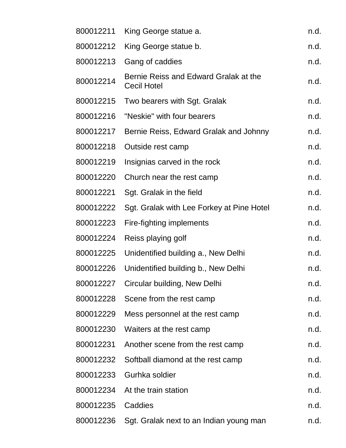| 800012211 | King George statue a.                                       | n.d. |
|-----------|-------------------------------------------------------------|------|
| 800012212 | King George statue b.                                       | n.d. |
| 800012213 | Gang of caddies                                             | n.d. |
| 800012214 | Bernie Reiss and Edward Gralak at the<br><b>Cecil Hotel</b> | n.d. |
| 800012215 | Two bearers with Sgt. Gralak                                | n.d. |
| 800012216 | "Neskie" with four bearers                                  | n.d. |
| 800012217 | Bernie Reiss, Edward Gralak and Johnny                      | n.d. |
| 800012218 | Outside rest camp                                           | n.d. |
| 800012219 | Insignias carved in the rock                                | n.d. |
| 800012220 | Church near the rest camp                                   | n.d. |
| 800012221 | Sgt. Gralak in the field                                    | n.d. |
| 800012222 | Sgt. Gralak with Lee Forkey at Pine Hotel                   | n.d. |
| 800012223 | Fire-fighting implements                                    | n.d. |
| 800012224 | Reiss playing golf                                          | n.d. |
| 800012225 | Unidentified building a., New Delhi                         | n.d. |
| 800012226 | Unidentified building b., New Delhi                         | n.d. |
| 800012227 | Circular building, New Delhi                                | n.d. |
| 800012228 | Scene from the rest camp                                    | n.d. |
| 800012229 | Mess personnel at the rest camp                             | n.d. |
| 800012230 | Waiters at the rest camp                                    | n.d. |
| 800012231 | Another scene from the rest camp                            | n.d. |
| 800012232 | Softball diamond at the rest camp                           | n.d. |
| 800012233 | Gurhka soldier                                              | n.d. |
| 800012234 | At the train station                                        | n.d. |
| 800012235 | Caddies                                                     | n.d. |
| 800012236 | Sgt. Gralak next to an Indian young man                     | n.d. |